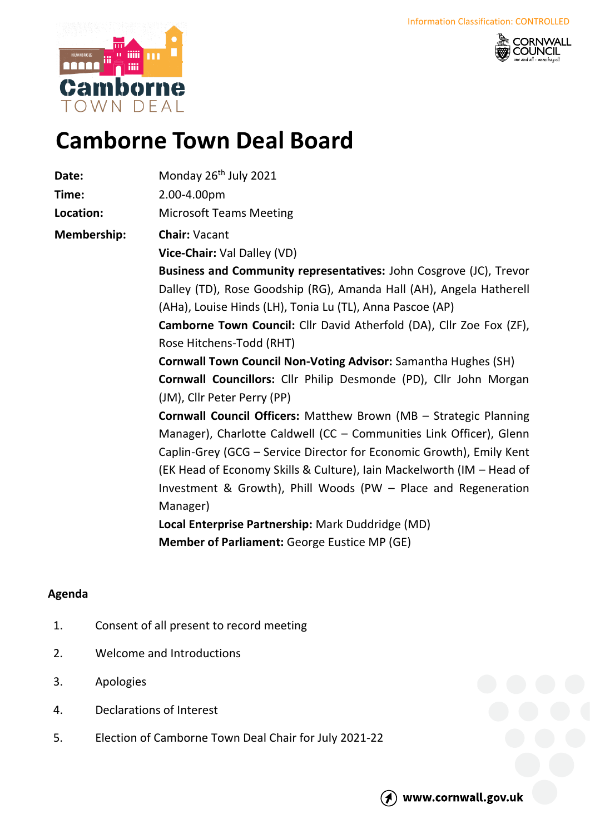



## **Camborne Town Deal Board**

| Date:                                                             | Monday 26 <sup>th</sup> July 2021                                     |  |  |
|-------------------------------------------------------------------|-----------------------------------------------------------------------|--|--|
| Time:                                                             | 2.00-4.00pm                                                           |  |  |
| Location:                                                         | <b>Microsoft Teams Meeting</b>                                        |  |  |
| <b>Membership:</b>                                                | <b>Chair: Vacant</b>                                                  |  |  |
|                                                                   | Vice-Chair: Val Dalley (VD)                                           |  |  |
|                                                                   | Business and Community representatives: John Cosgrove (JC), Trevor    |  |  |
|                                                                   | Dalley (TD), Rose Goodship (RG), Amanda Hall (AH), Angela Hatherell   |  |  |
|                                                                   | (AHa), Louise Hinds (LH), Tonia Lu (TL), Anna Pascoe (AP)             |  |  |
|                                                                   | Camborne Town Council: Cllr David Atherfold (DA), Cllr Zoe Fox (ZF),  |  |  |
|                                                                   | Rose Hitchens-Todd (RHT)                                              |  |  |
|                                                                   | <b>Cornwall Town Council Non-Voting Advisor:</b> Samantha Hughes (SH) |  |  |
| Cornwall Councillors: Cllr Philip Desmonde (PD), Cllr John Morgan |                                                                       |  |  |
|                                                                   | (JM), Cllr Peter Perry (PP)                                           |  |  |
|                                                                   | Cornwall Council Officers: Matthew Brown (MB - Strategic Planning     |  |  |
|                                                                   | Manager), Charlotte Caldwell (CC - Communities Link Officer), Glenn   |  |  |
|                                                                   | Caplin-Grey (GCG - Service Director for Economic Growth), Emily Kent  |  |  |
|                                                                   | (EK Head of Economy Skills & Culture), Iain Mackelworth (IM - Head of |  |  |
|                                                                   | Investment & Growth), Phill Woods (PW - Place and Regeneration        |  |  |
|                                                                   | Manager)                                                              |  |  |
|                                                                   | Local Enterprise Partnership: Mark Duddridge (MD)                     |  |  |
|                                                                   | <b>Member of Parliament: George Eustice MP (GE)</b>                   |  |  |
|                                                                   |                                                                       |  |  |

## **Agenda**

- 1. Consent of all present to record meeting
- 2. Welcome and Introductions
- 3. Apologies
- 4. Declarations of Interest
- 5. Election of Camborne Town Deal Chair for July 2021-22